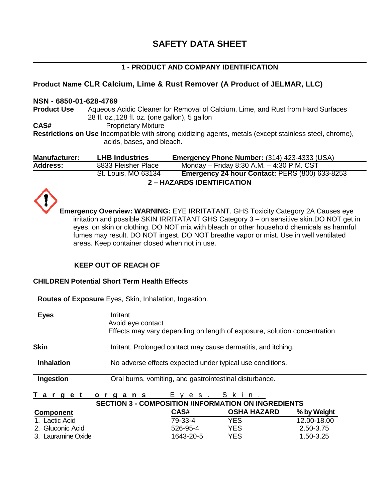#### **1 - PRODUCT AND COMPANY IDENTIFICATION**

#### **Product Name CLR Calcium, Lime & Rust Remover (A Product of JELMAR, LLC)**

#### **NSN - 6850-01-628-4769**

**Product Use** Aqueous Acidic Cleaner for Removal of Calcium, Lime, and Rust from Hard Surfaces 28 fl. oz.,128 fl. oz. (one gallon), 5 gallon **CAS#** Proprietary Mixture

**Restrictions on Use** Incompatible with strong oxidizing agents, metals (except stainless steel, chrome), acids, bases, and bleach**.**

| <b>Manufacturer:</b>              | <b>LHB Industries</b> | <b>Emergency Phone Number:</b> (314) 423-4333 (USA)   |  |
|-----------------------------------|-----------------------|-------------------------------------------------------|--|
| <b>Address:</b>                   | 8833 Fleisher Place   | Monday - Friday 8:30 A.M. $-$ 4:30 P.M. CST           |  |
|                                   | St. Louis, MO 63134   | <b>Emergency 24 hour Contact: PERS (800) 633-8253</b> |  |
| <b>2 - HAZARDS IDENTIFICATION</b> |                       |                                                       |  |



**Emergency Overview: WARNING:** EYE IRRITATANT. GHS Toxicity Category 2A Causes eye irritation and possible SKIN IRRITATANT GHS Category 3 – on sensitive skin.DO NOT get in eyes, on skin or clothing. DO NOT mix with bleach or other household chemicals as harmful fumes may result. DO NOT ingest. DO NOT breathe vapor or mist. Use in well ventilated areas. Keep container closed when not in use.

#### **KEEP OUT OF REACH OF**

#### **CHILDREN Potential Short Term Health Effects**

**Routes of Exposure** Eyes, Skin, Inhalation, Ingestion.

**Eyes** Irritant Avoid eye contact Effects may vary depending on length of exposure, solution concentration

**Skin I**rritant. Prolonged contact may cause dermatitis, and itching.

**Inhalation** No adverse effects expected under typical use conditions.

**Ingestion Cral burns, vomiting, and gastrointestinal disturbance.** 

| Tarqet             | organs                                                     | E v e s   | Skin.              |             |
|--------------------|------------------------------------------------------------|-----------|--------------------|-------------|
|                    | <b>SECTION 3 - COMPOSITION /INFORMATION ON INGREDIENTS</b> |           |                    |             |
| <b>Component</b>   |                                                            | CAS#      | <b>OSHA HAZARD</b> | % by Weight |
| 1. Lactic Acid     |                                                            | 79-33-4   | YES.               | 12.00-18.00 |
| 2. Gluconic Acid   |                                                            | 526-95-4  | <b>YES</b>         | 2.50-3.75   |
| 3. Lauramine Oxide |                                                            | 1643-20-5 | YES                | 1.50-3.25   |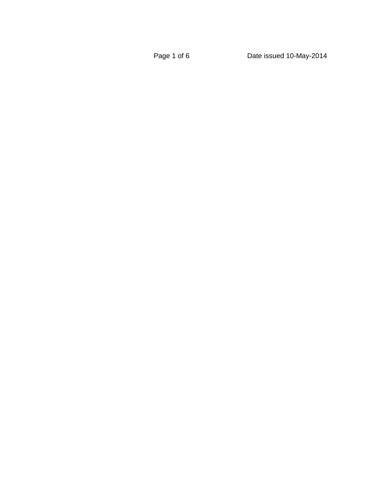Page 1 of 6 Date issued 10-May-2014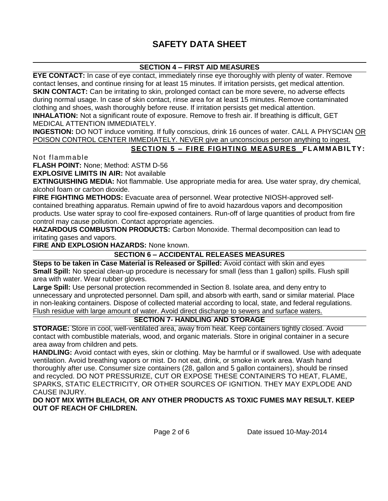#### **SECTION 4 – FIRST AID MEASURES**

**EYE CONTACT:** In case of eye contact, immediately rinse eye thoroughly with plenty of water. Remove contact lenses, and continue rinsing for at least 15 minutes. If irritation persists, get medical attention. **SKIN CONTACT:** Can be irritating to skin, prolonged contact can be more severe, no adverse effects during normal usage. In case of skin contact, rinse area for at least 15 minutes. Remove contaminated clothing and shoes, wash thoroughly before reuse. If irritation persists get medical attention.

**INHALATION:** Not a significant route of exposure. Remove to fresh air. If breathing is difficult, GET MEDICAL ATTENTION IMMEDIATELY.

**INGESTION:** DO NOT induce vomiting. If fully conscious, drink 16 ounces of water. CALL A PHYSCIAN OR POISON CONTROL CENTER IMMEDIATELY. NEVER give an unconscious person anything to ingest.

## **SECTION 5 – FIRE FIGHTING MEASURES FLAMM ABILTY:**

Not flammable

**FLASH POINT:** None; Method: ASTM D-56

**EXPLOSIVE LIMITS IN AIR:** Not available

**EXTINGUISHING MEDIA:** Not flammable. Use appropriate media for area. Use water spray, dry chemical, alcohol foam or carbon dioxide.

**FIRE FIGHTING METHODS:** Evacuate area of personnel. Wear protective NIOSH-approved selfcontained breathing apparatus. Remain upwind of fire to avoid hazardous vapors and decomposition products. Use water spray to cool fire-exposed containers. Run-off of large quantities of product from fire control may cause pollution. Contact appropriate agencies.

**HAZARDOUS COMBUSTION PRODUCTS:** Carbon Monoxide. Thermal decomposition can lead to irritating gases and vapors.

**FIRE AND EXPLOSION HAZARDS:** None known.

#### **SECTION 6 – ACCIDENTAL RELEASES MEASURES**

**Steps to be taken in Case Material is Released or Spilled:** Avoid contact with skin and eyes **Small Spill:** No special clean-up procedure is necessary for small (less than 1 gallon) spills. Flush spill area with water. Wear rubber gloves.

**Large Spill:** Use personal protection recommended in Section 8. Isolate area, and deny entry to unnecessary and unprotected personnel. Dam spill, and absorb with earth, sand or similar material. Place in non-leaking containers. Dispose of collected material according to local, state, and federal regulations. Flush residue with large amount of water. Avoid direct discharge to sewers and surface waters.

## **SECTION 7- HANDLING AND STORAGE**

**STORAGE:** Store in cool, well-ventilated area, away from heat. Keep containers tightly closed. Avoid contact with combustible materials, wood, and organic materials. Store in original container in a secure area away from children and pets.

**HANDLING:** Avoid contact with eyes, skin or clothing. May be harmful or if swallowed. Use with adequate ventilation. Avoid breathing vapors or mist. Do not eat, drink, or smoke in work area. Wash hand thoroughly after use. Consumer size containers (28, gallon and 5 gallon containers), should be rinsed and recycled. DO NOT PRESSURIZE, CUT OR EXPOSE THESE CONTAINERS TO HEAT, FLAME, SPARKS, STATIC ELECTRICITY, OR OTHER SOURCES OF IGNITION. THEY MAY EXPLODE AND CAUSE INJURY.

**DO NOT MIX WITH BLEACH, OR ANY OTHER PRODUCTS AS TOXIC FUMES MAY RESULT. KEEP OUT OF REACH OF CHILDREN.**

Page 2 of 6 Date issued 10-May-2014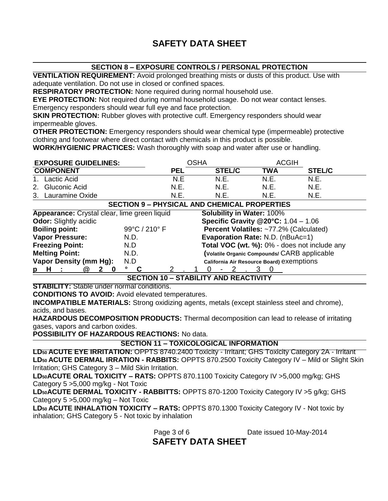#### **SECTION 8 – EXPOSURE CONTROLS / PERSONAL PROTECTION**

**VENTILATION REQUIREMENT:** Avoid prolonged breathing mists or dusts of this product. Use with adequate ventilation. Do not use in closed or confined spaces.

**RESPIRATORY PROTECTION:** None required during normal household use.

**EYE PROTECTION:** Not required during normal household usage. Do not wear contact lenses.

Emergency responders should wear full eye and face protection.

**SKIN PROTECTION:** Rubber gloves with protective cuff. Emergency responders should wear impermeable gloves.

**OTHER PROTECTION:** Emergency responders should wear chemical type (impermeable) protective clothing and footwear where direct contact with chemicals in this product is possible.

**WORK/HYGIENIC PRACTICES:** Wash thoroughly with soap and water after use or handling.

| <b>EXPOSURE GUIDELINES:</b> |                 | つSHA       |               | ACGIH |               |  |
|-----------------------------|-----------------|------------|---------------|-------|---------------|--|
| <b>COMPONENT</b>            |                 | <b>PEL</b> | <b>STELIC</b> | TWA   | <b>STELIC</b> |  |
| $1_{-}$                     | Lactic Acid     | N.E        |               | N.E   | N.E.          |  |
| 2.                          | Gluconic Acid   | N.E.       | N.E           | N.E   | N.E.          |  |
| 3.                          | Lauramine Oxide | N.E.       | N.E           | N.E   | N.E           |  |

| <b>SECTION 9 - PHYSICAL AND CHEMICAL PROPERTIES</b> |                                                         |  |  |
|-----------------------------------------------------|---------------------------------------------------------|--|--|
| Appearance: Crystal clear, lime green liquid        | <b>Solubility in Water: 100%</b>                        |  |  |
| <b>Odor:</b> Slightly acidic                        | Specific Gravity @20 $^{\circ}$ C: 1.04 - 1.06          |  |  |
| <b>Boiling point:</b>                               | Percent Volatiles: ~77.2% (Calculated)<br>99°C / 210° F |  |  |
| <b>Vapor Pressure:</b><br>N.D.                      | Evaporation Rate: N.D. (nBuAc=1)                        |  |  |
| <b>Freezing Point:</b><br>N.D                       | Total VOC (wt. %): 0% - does not include any            |  |  |
| <b>Melting Point:</b><br>N.D.                       | (Volatile Organic Compounds/ CARB applicable            |  |  |
| Vapor Density (mm Hg):<br>N.D                       | California Air Resource Board) exemptions               |  |  |
| $\omega$<br>p H<br>$\mathbf{0}$                     | $\sim$                                                  |  |  |

#### **SECTION 10 – STABILITY AND REACTIVITY**

**STABILITY:** Stable under normal conditions.

**CONDITIONS TO AVOID:** Avoid elevated temperatures.

**INCOMPATIBLE MATERIALS:** Strong oxidizing agents, metals (except stainless steel and chrome), acids, and bases.

**HAZARDOUS DECOMPOSITION PRODUCTS:** Thermal decomposition can lead to release of irritating gases, vapors and carbon oxides.

**POSSIBILITY OF HAZARDOUS REACTIONS:** No data.

**SECTION 11 – TOXICOLOGICAL INFORMATION**

**LD50 ACUTE EYE IRRITATION:** OPPTS 8740.2400 Toxicity - Irritant; GHS Toxicity Category 2A - Irritant **LD50 ACUTE DERMAL IRRATION - RABBITS:** OPPTS 870.2500 Toxicity Category IV – Mild or Slight Skin Irritation; GHS Category 3 – Mild Skin Irritation.

**LD50ACUTE ORAL TOXICITY – RATS:** OPPTS 870.1100 Toxicity Category IV >5,000 mg/kg; GHS Category 5 >5,000 mg/kg - Not Toxic

**LD50ACUTE DERMAL TOXICITY - RABBITTS:** OPPTS 870-1200 Toxicity Category IV >5 g/kg; GHS Category 5 >5,000 mg/kg – Not Toxic

**LD50 ACUTE INHALATION TOXICITY – RATS:** OPPTS 870.1300 Toxicity Category IV - Not toxic by inhalation; GHS Category 5 - Not toxic by inhalation

> Page 3 of 6 Date issued 10-May-2014 **SAFETY DATA SHEET**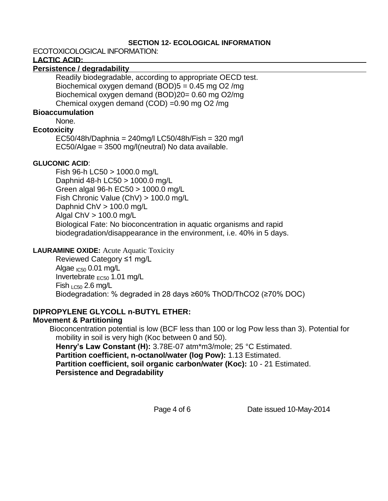### **SECTION 12- ECOLOGICAL INFORMATION**

ECOTOXICOLOGICAL INFORMATION:

## **LACTIC ACID:**

### **Persistence / degradability**

Readily biodegradable, according to appropriate OECD test. Biochemical oxygen demand  $(BOD)5 = 0.45$  mg O2/mg Biochemical oxygen demand (BOD)20= 0.60 mg O2/mg Chemical oxygen demand (COD) =0.90 mg O2 /mg

### **Bioaccumulation**

None.

## **Ecotoxicity**

EC50/48h/Daphnia = 240mg/l LC50/48h/Fish = 320 mg/l EC50/Algae = 3500 mg/l(neutral) No data available.

## **GLUCONIC ACID**:

Fish 96-h LC50 > 1000.0 mg/L Daphnid 48-h LC50 > 1000.0 mg/L Green algal 96-h EC50 > 1000.0 mg/L Fish Chronic Value (ChV) > 100.0 mg/L Daphnid ChV > 100.0 mg/L Algal  $ChV > 100.0$  mg/L Biological Fate: No bioconcentration in aquatic organisms and rapid biodegradation/disappearance in the environment, i.e. 40% in 5 days.

### **LAURAMINE OXIDE:** Acute Aquatic Toxicity

Reviewed Category ≤1 mg/L Algae  $_{IC50}$  0.01 mg/L Invertebrate  $_{EC50}$  1.01 mg/L Fish  $_{\perp$ C<sub>50</sub> 2.6 mg/L Biodegradation: % degraded in 28 days ≥60% ThOD/ThCO2 (≥70% DOC)

# **DIPROPYLENE GLYCOLL n-BUTYL ETHER:**

## **Movement & Partitioning**

Bioconcentration potential is low (BCF less than 100 or log Pow less than 3). Potential for mobility in soil is very high (Koc between 0 and 50). **Henry's Law Constant (H):** 3.78E-07 atm\*m3/mole; 25 °C Estimated. **Partition coefficient, n-octanol/water (log Pow):** 1.13 Estimated. **Partition coefficient, soil organic carbon/water (Koc):** 10 - 21 Estimated. **Persistence and Degradability**

Page 4 of 6 Date issued 10-May-2014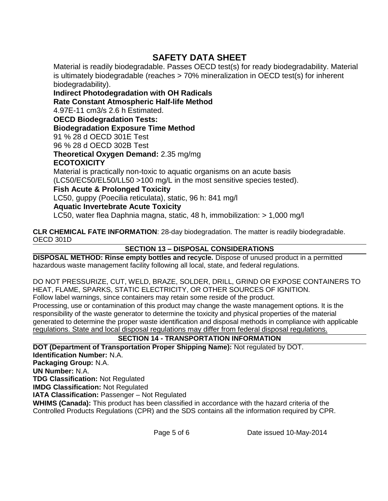Material is readily biodegradable. Passes OECD test(s) for ready biodegradability. Material is ultimately biodegradable (reaches > 70% mineralization in OECD test(s) for inherent biodegradability).

**Indirect Photodegradation with OH Radicals Rate Constant Atmospheric Half-life Method** 4.97E-11 cm3/s 2.6 h Estimated. **OECD Biodegradation Tests: Biodegradation Exposure Time Method** 91 % 28 d OECD 301E Test 96 % 28 d OECD 302B Test **Theoretical Oxygen Demand:** 2.35 mg/mg **ECOTOXICITY** Material is practically non-toxic to aquatic organisms on an acute basis (LC50/EC50/EL50/LL50 >100 mg/L in the most sensitive species tested). **Fish Acute & Prolonged Toxicity** LC50, guppy (Poecilia reticulata), static, 96 h: 841 mg/l **Aquatic Invertebrate Acute Toxicity** LC50, water flea Daphnia magna, static, 48 h, immobilization: > 1,000 mg/l

**CLR CHEMICAL FATE INFORMATION**: 28-day biodegradation. The matter is readily biodegradable. OECD 301D

## **SECTION 13 – DISPOSAL CONSIDERATIONS**

**DISPOSAL METHOD: Rinse empty bottles and recycle.** Dispose of unused product in a permitted hazardous waste management facility following all local, state, and federal regulations.

DO NOT PRESSURIZE, CUT, WELD, BRAZE, SOLDER, DRILL, GRIND OR EXPOSE CONTAINERS TO HEAT, FLAME, SPARKS, STATIC ELECTRICITY, OR OTHER SOURCES OF IGNITION. Follow label warnings, since containers may retain some reside of the product. Processing, use or contamination of this product may change the waste management options. It is the responsibility of the waste generator to determine the toxicity and physical properties of the material generated to determine the proper waste identification and disposal methods in compliance with applicable regulations. State and local disposal regulations may differ from federal disposal regulations.

## **SECTION 14 - TRANSPORTATION INFORMATION**

**DOT (Department of Transportation Proper Shipping Name):** Not regulated by DOT. **Identification Number:** N.A.

**Packaging Group:** N.A.

**UN Number:** N.A.

**TDG Classification:** Not Regulated

**IMDG Classification:** Not Regulated

**IATA Classification: Passenger – Not Regulated** 

**WHIMS (Canada):** This product has been classified in accordance with the hazard criteria of the Controlled Products Regulations (CPR) and the SDS contains all the information required by CPR.

Page 5 of 6 Date issued 10-May-2014